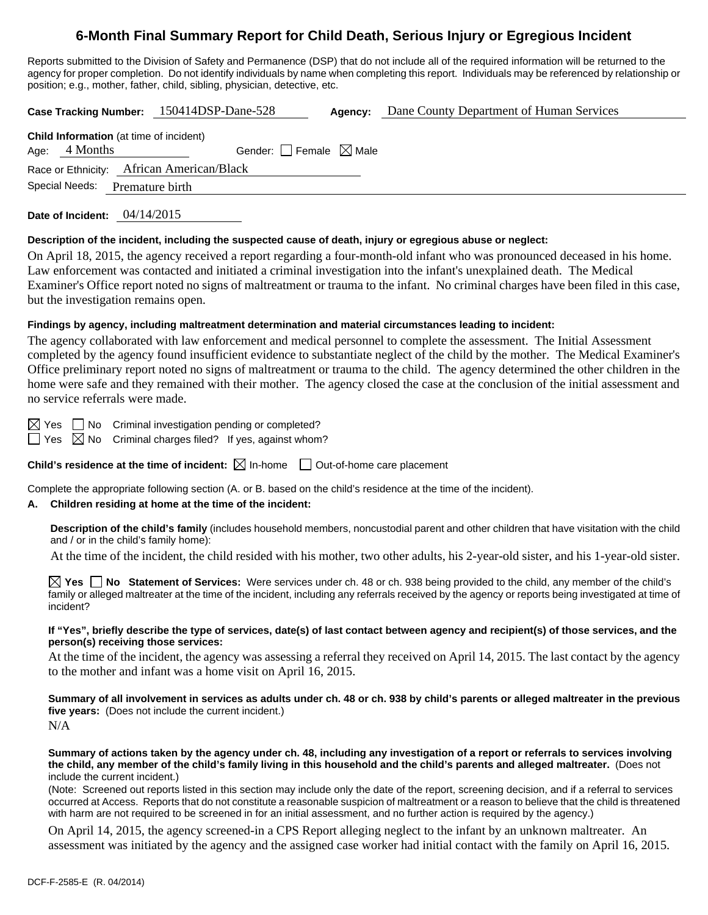# **6-Month Final Summary Report for Child Death, Serious Injury or Egregious Incident**

Reports submitted to the Division of Safety and Permanence (DSP) that do not include all of the required information will be returned to the agency for proper completion. Do not identify individuals by name when completing this report. Individuals may be referenced by relationship or position; e.g., mother, father, child, sibling, physician, detective, etc.

**Case Tracking Number:** 150414DSP-Dane-528 **Agency:** Dane County Department of Human Services

| <b>Child Information</b> (at time of incident) |  |                                        |  |  |  |
|------------------------------------------------|--|----------------------------------------|--|--|--|
| Age: 4 Months                                  |  | Gender: $\Box$ Female $\boxtimes$ Male |  |  |  |
| Race or Ethnicity: African American/Black      |  |                                        |  |  |  |
|                                                |  | Special Needs: Premature birth         |  |  |  |
|                                                |  |                                        |  |  |  |

**Date of Incident:** 04/14/2015

#### **Description of the incident, including the suspected cause of death, injury or egregious abuse or neglect:**

On April 18, 2015, the agency received a report regarding a four-month-old infant who was pronounced deceased in his home. Law enforcement was contacted and initiated a criminal investigation into the infant's unexplained death. The Medical Examiner's Office report noted no signs of maltreatment or trauma to the infant. No criminal charges have been filed in this case, but the investigation remains open.

### **Findings by agency, including maltreatment determination and material circumstances leading to incident:**

The agency collaborated with law enforcement and medical personnel to complete the assessment. The Initial Assessment completed by the agency found insufficient evidence to substantiate neglect of the child by the mother. The Medical Examiner's Office preliminary report noted no signs of maltreatment or trauma to the child. The agency determined the other children in the home were safe and they remained with their mother. The agency closed the case at the conclusion of the initial assessment and no service referrals were made.

 $\boxtimes$  Yes  $\Box$  No Criminal investigation pending or completed?

 $\Box$  Yes  $\boxtimes$  No Criminal charges filed? If yes, against whom?

**Child's residence at the time of incident:**  $\boxtimes$  In-home  $\Box$  Out-of-home care placement

Complete the appropriate following section (A. or B. based on the child's residence at the time of the incident).

### **A. Children residing at home at the time of the incident:**

**Description of the child's family** (includes household members, noncustodial parent and other children that have visitation with the child and / or in the child's family home):

At the time of the incident, the child resided with his mother, two other adults, his 2-year-old sister, and his 1-year-old sister.

**Yes No Statement of Services:** Were services under ch. 48 or ch. 938 being provided to the child, any member of the child's family or alleged maltreater at the time of the incident, including any referrals received by the agency or reports being investigated at time of incident?

#### **If "Yes", briefly describe the type of services, date(s) of last contact between agency and recipient(s) of those services, and the person(s) receiving those services:**

At the time of the incident, the agency was assessing a referral they received on April 14, 2015. The last contact by the agency to the mother and infant was a home visit on April 16, 2015.

**Summary of all involvement in services as adults under ch. 48 or ch. 938 by child's parents or alleged maltreater in the previous five years:** (Does not include the current incident.) N/A

**Summary of actions taken by the agency under ch. 48, including any investigation of a report or referrals to services involving the child, any member of the child's family living in this household and the child's parents and alleged maltreater.** (Does not include the current incident.)

(Note: Screened out reports listed in this section may include only the date of the report, screening decision, and if a referral to services occurred at Access. Reports that do not constitute a reasonable suspicion of maltreatment or a reason to believe that the child is threatened with harm are not required to be screened in for an initial assessment, and no further action is required by the agency.)

On April 14, 2015, the agency screened-in a CPS Report alleging neglect to the infant by an unknown maltreater. An assessment was initiated by the agency and the assigned case worker had initial contact with the family on April 16, 2015.